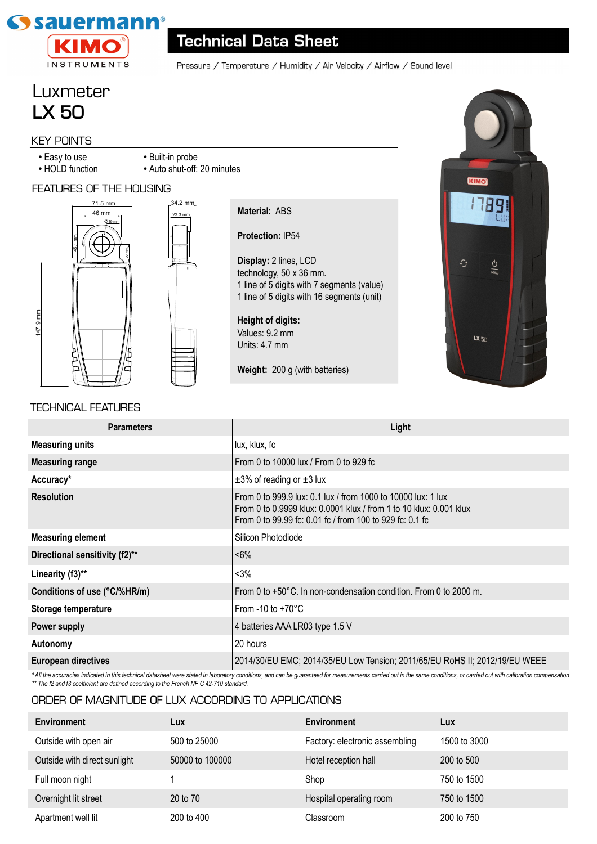

## **Technical Data Sheet**

Pressure / Temperature / Humidity / Air Velocity / Airflow / Sound level

# Luxmeter **LX 50**

### KEY POINTS

- Easy to use
- HOLD function

#### FEATURES OF THE HOUSING





• Built-in probe

• Auto shut-off: 20 minutes

**Protection:** IP54 **Display:** 2 lines, LCD technology, 50 x 36 mm. 1 line of 5 digits with 7 segments (value) 1 line of 5 digits with 16 segments (unit)

**Height of digits:**  Values: 9.2 mm Units: 4.7 mm

**Material:** ABS

**Weight:** 200 g (with batteries)



#### TECHNICAL FEATURES

| <b>Parameters</b>              | Light                                                                                                                                                                                          |  |  |
|--------------------------------|------------------------------------------------------------------------------------------------------------------------------------------------------------------------------------------------|--|--|
| <b>Measuring units</b>         | lux, klux, fc                                                                                                                                                                                  |  |  |
| <b>Measuring range</b>         | From 0 to 10000 lux / From 0 to 929 fc                                                                                                                                                         |  |  |
| Accuracy*                      | $\pm 3\%$ of reading or $\pm 3$ lux                                                                                                                                                            |  |  |
| <b>Resolution</b>              | From 0 to 999.9 lux: 0.1 lux / from 1000 to 10000 lux: 1 lux<br>From 0 to 0.9999 klux: 0.0001 klux / from 1 to 10 klux: 0.001 klux<br>From 0 to 99.99 fc: 0.01 fc / from 100 to 929 fc: 0.1 fc |  |  |
| <b>Measuring element</b>       | Silicon Photodiode                                                                                                                                                                             |  |  |
| Directional sensitivity (f2)** | $< 6\%$                                                                                                                                                                                        |  |  |
| Linearity (f3)**               | $< 3\%$                                                                                                                                                                                        |  |  |
| Conditions of use (°C/%HR/m)   | From 0 to $+50^{\circ}$ C. In non-condensation condition. From 0 to 2000 m.                                                                                                                    |  |  |
| Storage temperature            | From -10 to $+70^{\circ}$ C                                                                                                                                                                    |  |  |
| Power supply                   | 4 batteries AAA LR03 type 1.5 V                                                                                                                                                                |  |  |
| Autonomy                       | 20 hours                                                                                                                                                                                       |  |  |
| <b>European directives</b>     | 2014/30/EU EMC; 2014/35/EU Low Tension; 2011/65/EU RoHS II; 2012/19/EU WEEE                                                                                                                    |  |  |

\*All the accuracies indicated in this technical datasheet were stated in laboratory conditions, and can be guaranteed for measurements carried out in the same conditions, or carried out with calibration compensation *\*\* The f2 and f3 coefficient are defined according to the French NF C 42-710 standard.*

| <b>Environment</b>           | Lux             | Environment                    | Lux          |
|------------------------------|-----------------|--------------------------------|--------------|
| Outside with open air        | 500 to 25000    | Factory: electronic assembling | 1500 to 3000 |
| Outside with direct sunlight | 50000 to 100000 | Hotel reception hall           | 200 to 500   |
| Full moon night              |                 | Shop                           | 750 to 1500  |
| Overnight lit street         | 20 to 70        | Hospital operating room        | 750 to 1500  |
| Apartment well lit           | 200 to 400      | Classroom                      | 200 to 750   |